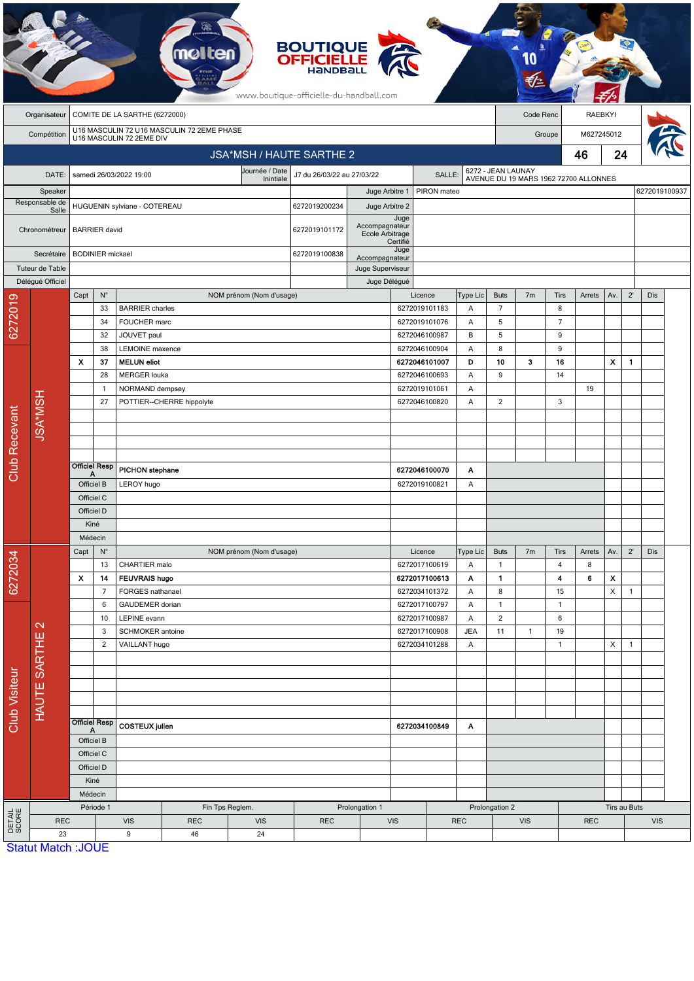|                      |                           |      |                         |                                        |                                            |                          | <b>BOUTIQUE<br/>OFFICIELLE</b><br>HANDBAL<br>www.boutique-officielle-du-handball.com |                                   |                                |             |            |                     |                |                      |                                       |     |                |               |  |
|----------------------|---------------------------|------|-------------------------|----------------------------------------|--------------------------------------------|--------------------------|--------------------------------------------------------------------------------------|-----------------------------------|--------------------------------|-------------|------------|---------------------|----------------|----------------------|---------------------------------------|-----|----------------|---------------|--|
|                      | Organisateur              |      |                         | COMITE DE LA SARTHE (6272000)          |                                            |                          |                                                                                      |                                   |                                |             |            |                     | Code Renc      |                      | <b>RAEBKYI</b>                        |     |                |               |  |
|                      | Compétition               |      |                         | U16 MASCULIN 72 2EME DIV               | U16 MASCULIN 72 U16 MASCULIN 72 2EME PHASE |                          |                                                                                      |                                   |                                |             |            |                     |                | Groupe               | M627245012                            |     |                |               |  |
|                      |                           |      |                         |                                        |                                            | JSA*MSH / HAUTE SARTHE 2 |                                                                                      |                                   |                                |             |            |                     |                |                      | 46                                    | 24  |                |               |  |
|                      |                           |      |                         |                                        |                                            | Journée / Date           |                                                                                      |                                   |                                |             |            | 6272 - JEAN LAUNAY  |                |                      |                                       |     |                |               |  |
|                      | DATE:                     |      |                         | samedi 26/03/2022 19:00                |                                            | Inintiale                | J7 du 26/03/22 au 27/03/22                                                           |                                   |                                | SALLE:      |            |                     |                |                      | AVENUE DU 19 MARS 1962 72700 ALLONNES |     |                |               |  |
|                      | Speaker<br>Responsable de |      |                         |                                        |                                            |                          |                                                                                      | Juge Arbitre 1                    |                                | PIRON mateo |            |                     |                |                      |                                       |     |                | 6272019100937 |  |
|                      | Salle                     |      |                         | HUGUENIN sylviane - COTEREAU           |                                            |                          | 6272019200234                                                                        | Juge Arbitre 2                    |                                |             |            |                     |                |                      |                                       |     |                |               |  |
|                      | Chronométreur             |      | <b>BARRIER</b> david    |                                        |                                            |                          | 6272019101172                                                                        | Accompagnateur<br>Ecole Arbitrage | Juge<br>Certifié               |             |            |                     |                |                      |                                       |     |                |               |  |
|                      | Secrétaire                |      | <b>BODINIER</b> mickael |                                        |                                            |                          | 6272019100838                                                                        | Accompagnateur                    | Juge                           |             |            |                     |                |                      |                                       |     |                |               |  |
|                      | Tuteur de Table           |      |                         |                                        |                                            |                          |                                                                                      | Juge Superviseur                  |                                |             |            |                     |                |                      |                                       |     |                |               |  |
|                      | Délégué Officiel          |      |                         |                                        |                                            |                          |                                                                                      | Juge Délégué                      |                                |             |            |                     |                |                      |                                       |     |                |               |  |
|                      |                           | Capt | $N^{\circ}$             |                                        |                                            | NOM prénom (Nom d'usage) |                                                                                      |                                   | Licence                        |             | Type Lic   | <b>Buts</b>         | 7 <sub>m</sub> | Tirs                 | Arrets                                | Av. | $2^{\prime}$   | Dis           |  |
|                      |                           |      | 33<br>34                | <b>BARRIER</b> charles<br>FOUCHER marc |                                            |                          |                                                                                      |                                   | 6272019101183<br>6272019101076 |             | Α<br>Α     | $\overline{7}$<br>5 |                | 8<br>$\overline{7}$  |                                       |     |                |               |  |
| 6272019              |                           |      | 32                      | JOUVET paul                            |                                            |                          |                                                                                      |                                   | 6272046100987                  |             | B          | 5                   |                | 9                    |                                       |     |                |               |  |
|                      |                           |      | 38                      | LEMOINE maxence                        |                                            |                          |                                                                                      |                                   | 6272046100904                  |             | Α          | 8                   |                | 9                    |                                       |     |                |               |  |
|                      |                           | X    | 37                      | <b>MELUN</b> eliot                     |                                            |                          |                                                                                      |                                   | 6272046101007                  |             | D          | 10                  | 3              | 16                   |                                       | X   | $\mathbf{1}$   |               |  |
|                      |                           |      | 28                      | <b>MERGER louka</b>                    |                                            |                          |                                                                                      |                                   | 6272046100693                  |             | Α          | 9                   |                | 14                   |                                       |     |                |               |  |
|                      |                           |      | $\mathbf{1}$            | NORMAND dempsey                        |                                            |                          |                                                                                      |                                   | 6272019101061                  |             | Α          |                     |                |                      | 19                                    |     |                |               |  |
|                      |                           |      | 27                      |                                        | POTTIER--CHERRE hippolyte                  |                          |                                                                                      |                                   | 6272046100820                  |             | Α          | 2                   |                | 3                    |                                       |     |                |               |  |
|                      |                           |      |                         |                                        |                                            |                          |                                                                                      |                                   |                                |             |            |                     |                |                      |                                       |     |                |               |  |
|                      | <b>JSA*MSH</b>            |      |                         |                                        |                                            |                          |                                                                                      |                                   |                                |             |            |                     |                |                      |                                       |     |                |               |  |
|                      |                           |      |                         |                                        |                                            |                          |                                                                                      |                                   |                                |             |            |                     |                |                      |                                       |     |                |               |  |
| Club Recevant        |                           |      | <b>Officiel Resp</b>    | PICHON stephane                        |                                            |                          |                                                                                      |                                   | 6272046100070                  |             | Α          |                     |                |                      |                                       |     |                |               |  |
|                      |                           |      | Α<br>Officiel B         | LEROY hugo                             |                                            |                          |                                                                                      |                                   | 6272019100821                  |             | Α          |                     |                |                      |                                       |     |                |               |  |
|                      |                           |      | Officiel C              |                                        |                                            |                          |                                                                                      |                                   |                                |             |            |                     |                |                      |                                       |     |                |               |  |
|                      |                           |      | Officiel D              |                                        |                                            |                          |                                                                                      |                                   |                                |             |            |                     |                |                      |                                       |     |                |               |  |
|                      |                           |      |                         |                                        |                                            |                          |                                                                                      |                                   |                                |             |            |                     |                |                      |                                       |     |                |               |  |
|                      |                           |      | Kiné                    |                                        |                                            |                          |                                                                                      |                                   |                                |             |            |                     |                |                      |                                       |     |                |               |  |
|                      |                           |      | Médecin                 |                                        |                                            |                          |                                                                                      |                                   |                                |             |            |                     |                |                      |                                       |     |                |               |  |
|                      |                           | Capt | $N^{\circ}$             |                                        |                                            | NOM prénom (Nom d'usage) |                                                                                      |                                   | Licence                        |             | Type Lic   | <b>Buts</b>         | 7m             | Tirs                 | Arrets                                | Av. | $2^{\prime}$   | Dis           |  |
|                      |                           |      | 13                      | CHARTIER malo                          |                                            |                          |                                                                                      |                                   | 6272017100619                  |             | Α          | $\mathbf{1}$        |                | $\overline{4}$       | 8                                     |     |                |               |  |
|                      |                           | x    | 14                      | <b>FEUVRAIS hugo</b>                   |                                            |                          |                                                                                      |                                   | 6272017100613                  |             | Α          | $\mathbf{1}$        |                | 4                    | 6                                     | x   |                |               |  |
| 6272034              |                           |      | $\overline{7}$<br>6     | FORGES nathanael<br>GAUDEMER dorian    |                                            |                          |                                                                                      |                                   | 6272034101372<br>6272017100797 |             | Α<br>Α     | 8<br>$\mathbf{1}$   |                | 15<br>$\overline{1}$ |                                       | х   | $\mathbf{1}$   |               |  |
|                      |                           |      | 10                      | LEPINE evann                           |                                            |                          |                                                                                      |                                   | 6272017100987                  |             | Α          | $\overline{2}$      |                | 6                    |                                       |     |                |               |  |
|                      | $\mathbf{\Omega}$         |      | 3                       | SCHMOKER antoine                       |                                            |                          |                                                                                      |                                   | 6272017100908                  |             | <b>JEA</b> | 11                  | $\mathbf{1}$   | 19                   |                                       |     |                |               |  |
|                      |                           |      | $\overline{2}$          | VAILLANT hugo                          |                                            |                          |                                                                                      |                                   | 6272034101288                  |             | A          |                     |                | $\mathbf{1}$         |                                       | X   | $\overline{1}$ |               |  |
|                      |                           |      |                         |                                        |                                            |                          |                                                                                      |                                   |                                |             |            |                     |                |                      |                                       |     |                |               |  |
|                      |                           |      |                         |                                        |                                            |                          |                                                                                      |                                   |                                |             |            |                     |                |                      |                                       |     |                |               |  |
|                      |                           |      |                         |                                        |                                            |                          |                                                                                      |                                   |                                |             |            |                     |                |                      |                                       |     |                |               |  |
|                      |                           |      |                         |                                        |                                            |                          |                                                                                      |                                   |                                |             |            |                     |                |                      |                                       |     |                |               |  |
|                      | HAUTE SARTHE              |      | <b>Officiel Resp</b>    |                                        |                                            |                          |                                                                                      |                                   | 6272034100849                  |             | Α          |                     |                |                      |                                       |     |                |               |  |
| <b>Club Visiteur</b> |                           |      | A<br>Officiel B         | <b>COSTEUX</b> julien                  |                                            |                          |                                                                                      |                                   |                                |             |            |                     |                |                      |                                       |     |                |               |  |
|                      |                           |      | Officiel C              |                                        |                                            |                          |                                                                                      |                                   |                                |             |            |                     |                |                      |                                       |     |                |               |  |
|                      |                           |      | Officiel D              |                                        |                                            |                          |                                                                                      |                                   |                                |             |            |                     |                |                      |                                       |     |                |               |  |
|                      |                           |      | Kiné                    |                                        |                                            |                          |                                                                                      |                                   |                                |             |            |                     |                |                      |                                       |     |                |               |  |
|                      |                           |      | Médecin                 |                                        |                                            |                          |                                                                                      |                                   |                                |             |            |                     |                |                      |                                       |     |                |               |  |
|                      |                           |      | Période 1               |                                        | Fin Tps Reglem.                            |                          |                                                                                      | Prolongation 1                    |                                |             |            | Prolongation 2      |                |                      |                                       |     | Tirs au Buts   |               |  |
| DETAIL<br>SCORE      | <b>REC</b><br>23          |      |                         | <b>VIS</b><br>9                        | <b>REC</b><br>46                           | <b>VIS</b><br>24         | <b>REC</b>                                                                           |                                   | <b>VIS</b>                     |             | <b>REC</b> |                     | <b>VIS</b>     |                      | <b>REC</b>                            |     |                | <b>VIS</b>    |  |

 $\pi$ .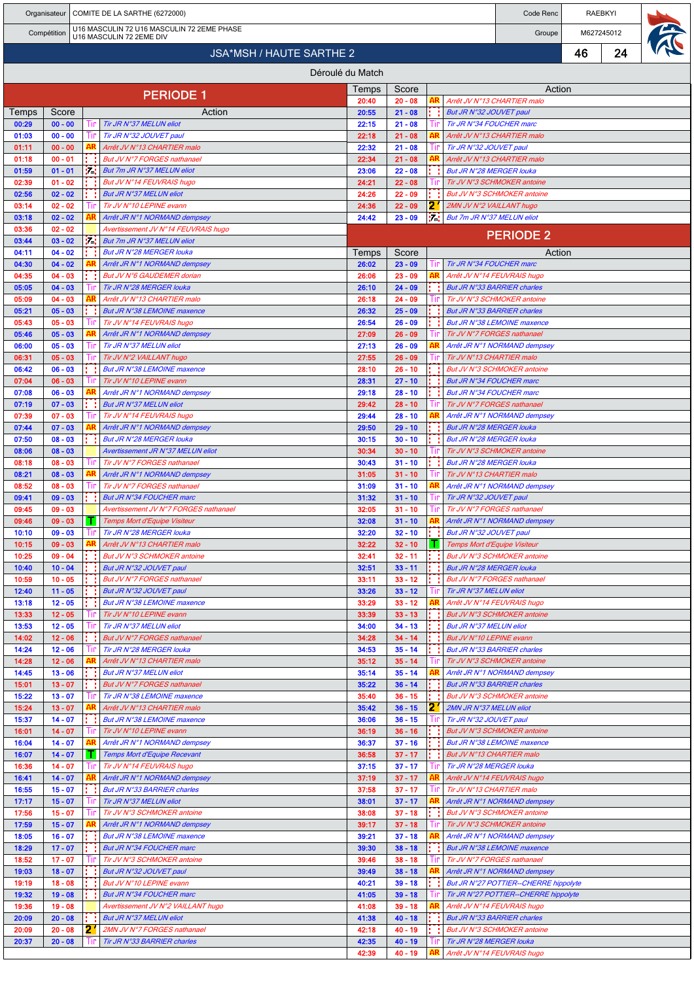|                                                                                       |                        |  |      | Organisateur   COMITE DE LA SARTHE (6272000)                        |                |                        |    |                                                                | Code Renc                                                   |    | <b>RAEBKYI</b> |  |
|---------------------------------------------------------------------------------------|------------------------|--|------|---------------------------------------------------------------------|----------------|------------------------|----|----------------------------------------------------------------|-------------------------------------------------------------|----|----------------|--|
| U16 MASCULIN 72 U16 MASCULIN 72 2EME PHASE<br>Compétition<br>U16 MASCULIN 72 2EME DIV |                        |  |      |                                                                     |                | Groupe                 |    | M627245012                                                     |                                                             |    |                |  |
|                                                                                       |                        |  |      | <b>JSA*MSH / HAUTE SARTHE 2</b>                                     |                |                        |    |                                                                |                                                             | 46 | 24             |  |
|                                                                                       |                        |  |      | Déroulé du Match                                                    |                |                        |    |                                                                |                                                             |    |                |  |
|                                                                                       |                        |  |      |                                                                     | Temps          | Score                  |    |                                                                | Action                                                      |    |                |  |
|                                                                                       |                        |  |      | <b>PERIODE 1</b>                                                    | 20:40          | $20 - 08$              | AR | Arrêt JV N°13 CHARTIER malo                                    |                                                             |    |                |  |
| Temps<br>00:29                                                                        | Score<br>$00 - 00$     |  |      | Action<br>Tir JR N°37 MELUN eliot                                   | 20:55<br>22:15 | $21 - 08$<br>$21 - 08$ |    | But JR N°32 JOUVET paul<br>Tir JR N°34 FOUCHER marc            |                                                             |    |                |  |
| 01:03                                                                                 | $00 - 00$              |  | Lт   | Tir JR N°32 JOUVET paul                                             | 22:18          | $21 - 08$              | AR | Arrêt JV N°13 CHARTIER malo                                    |                                                             |    |                |  |
| 01:11                                                                                 | $00 - 00$              |  |      | Arrêt JV N°13 CHARTIER malo                                         | 22:32          | $21 - 08$              |    | Tir JR N°32 JOUVET paul                                        |                                                             |    |                |  |
| 01:18<br>01:59                                                                        | $00 - 01$<br>$01 - 01$ |  | 54   | But JV N°7 FORGES nathanael<br>But 7m JR N°37 MELUN eliot           | 22:34<br>23:06 | $21 - 08$<br>$22 - 08$ |    | Arrêt JV N°13 CHARTIER malo<br><b>But JR N°28 MERGER louka</b> |                                                             |    |                |  |
| 02:39                                                                                 | $01 - 02$              |  |      | But JV N°14 FEUVRAIS hugo                                           | 24:21          | $22 - 08$              |    |                                                                | Tir JV N°3 SCHMOKER antoine                                 |    |                |  |
| 02:56                                                                                 | $02 - 02$              |  |      | <b>But JR N°37 MELUN eliot</b>                                      | 24:26          | $22 - 09$              |    |                                                                | But JV N°3 SCHMOKER antoine                                 |    |                |  |
| 03:14                                                                                 | $02 - 02$              |  | l Ir | Tir JV N°10 LEPINE evann                                            | 24:36          | $22 - 09$              | 21 | 2MN JV N°2 VAILLANT hugo                                       |                                                             |    |                |  |
| 03:18<br>03:36                                                                        | $02 - 02$<br>$02 - 02$ |  |      | Arrêt JR N°1 NORMAND dempsey<br>Avertissement JV N°14 FEUVRAIS hugo | 24:42          | $23 - 09$              | 54 | But 7m JR N°37 MELUN eliot                                     |                                                             |    |                |  |
| 03:44                                                                                 | $03 - 02$              |  | i i  | But 7m JR N°37 MELUN eliot                                          |                |                        |    |                                                                | <b>PERIODE 2</b>                                            |    |                |  |
| 04:11                                                                                 | $04 - 02$              |  |      | But JR N°28 MERGER louka                                            | Temps          | Score                  |    |                                                                | Action                                                      |    |                |  |
| 04:30<br>04:35                                                                        | $04 - 02$<br>$04 - 03$ |  |      | Arrêt JR N°1 NORMAND dempsey<br>But JV N°6 GAUDEMER dorian          | 26:02<br>26:06 | $23 - 09$<br>$23 - 09$ | AR | Tir JR N°34 FOUCHER marc<br>Arrêt JV N°14 FEUVRAIS hugo        |                                                             |    |                |  |
| 05:05                                                                                 | $04 - 03$              |  |      | Tir JR N°28 MERGER louka                                            | 26:10          | $24 - 09$              |    | <b>But JR N°33 BARRIER charles</b>                             |                                                             |    |                |  |
| 05:09                                                                                 | $04 - 03$              |  |      | Arrêt JV N°13 CHARTIER malo                                         | 26:18          | $24 - 09$              |    |                                                                | Tir JV N°3 SCHMOKER antoine                                 |    |                |  |
| 05:21<br>05:43                                                                        | $05 - 03$<br>$05 - 03$ |  |      | <b>But JR N°38 LEMOINE maxence</b><br>Tir JV N°14 FEUVRAIS hugo     | 26:32<br>26:54 | $25 - 09$<br>$26 - 09$ |    | <b>But JR N°33 BARRIER charles</b>                             | <b>But JR N°38 LEMOINE maxence</b>                          |    |                |  |
| 05:46                                                                                 | $05 - 03$              |  |      | Arrêt JR N°1 NORMAND dempsey                                        | 27:09          | $26 - 09$              |    | Tir JV N°7 FORGES nathanael                                    |                                                             |    |                |  |
| 06:00                                                                                 | $05 - 03$              |  |      | Tir JR N°37 MELUN eliot                                             | 27:13          | $26 - 09$              | AR |                                                                | Arrêt JR N°1 NORMAND dempsey                                |    |                |  |
| 06:31                                                                                 | $05 - 03$              |  |      | Tir JV N°2 VAILLANT hugo                                            | 27:55          | $26 - 09$              |    | Tir JV N°13 CHARTIER malo                                      |                                                             |    |                |  |
| 06:42<br>07:04                                                                        | $06 - 03$<br>$06 - 03$ |  |      | But JR N°38 LEMOINE maxence<br>Tir JV N°10 LEPINE evann             | 28:10<br>28:31 | $26 - 10$<br>$27 - 10$ |    | But JR N°34 FOUCHER marc                                       | But JV N°3 SCHMOKER antoine                                 |    |                |  |
| 07:08                                                                                 | $06 - 03$              |  |      | Arrêt JR N°1 NORMAND dempsey                                        | 29:18          | $28 - 10$              |    | <b>But JR N°34 FOUCHER marc</b>                                |                                                             |    |                |  |
| 07:19                                                                                 | $07 - 03$              |  |      | <b>But JR N°37 MELUN eliot</b>                                      | 29:42          | $28 - 10$              |    | Tir JV N°7 FORGES nathanael                                    |                                                             |    |                |  |
| 07:39<br>07:44                                                                        | $07 - 03$<br>$07 - 03$ |  |      | Tir JV N°14 FEUVRAIS hugo<br>Arrêt JR N°1 NORMAND dempsey           | 29:44<br>29:50 | $28 - 10$<br>$29 - 10$ |    | <b>But JR N°28 MERGER louka</b>                                | Arrêt JR N°1 NORMAND dempsey                                |    |                |  |
| 07:50                                                                                 | $08 - 03$              |  |      | But JR N°28 MERGER louka                                            | 30:15          | $30 - 10$              |    | <b>But JR N°28 MERGER louka</b>                                |                                                             |    |                |  |
| 08:06                                                                                 | $08 - 03$              |  |      | Avertissement JR N°37 MELUN eliot                                   | 30:34          | $30 - 10$              |    |                                                                | Tir JV N°3 SCHMOKER antoine                                 |    |                |  |
| 08:18<br>08:21                                                                        | $08 - 03$<br>$08 - 03$ |  |      | Tir JV N°7 FORGES nathanael<br>Arrêt JR N°1 NORMAND dempsey         | 30:43<br>31:05 | $31 - 10$<br>$31 - 10$ |    | <b>But JR N°28 MERGER louka</b><br>Tir JV N°13 CHARTIER malo   |                                                             |    |                |  |
| 08:52                                                                                 | $08 - 03$              |  |      | Tir JV N°7 FORGES nathanael                                         | 31:09          | $31 - 10$              |    |                                                                | Arrêt JR N°1 NORMAND dempsey                                |    |                |  |
| 09:41                                                                                 | $09 - 03$              |  |      | <b>But JR N°34 FOUCHER marc</b>                                     | 31:32          | $31 - 10$              |    | Tir JR N°32 JOUVET paul                                        |                                                             |    |                |  |
| 09:45                                                                                 | $09 - 03$<br>$09 - 03$ |  |      | Avertissement JV N°7 FORGES nathanael                               | 32:05<br>32:08 | $31 - 10$              |    | Tir JV N°7 FORGES nathanael                                    |                                                             |    |                |  |
| 09:46<br>10:10                                                                        | $09 - 03$              |  |      | Temps Mort d'Equipe Visiteur<br>Tir JR N°28 MERGER louka            | 32:20          | $31 - 10$<br>$32 - 10$ |    | But JR N°32 JOUVET paul                                        | Arrêt JR N°1 NORMAND dempsey                                |    |                |  |
| 10:15                                                                                 | $09 - 03$              |  | AR   | Arrêt JV N°13 CHARTIER malo                                         | 32:22          | $32 - 10$              |    | T   Temps Mort d'Equipe Visiteur                               |                                                             |    |                |  |
| 10:25                                                                                 | $09 - 04$              |  |      | But JV N°3 SCHMOKER antoine                                         | 32:41          | $32 - 11$              |    |                                                                | But JV N°3 SCHMOKER antoine                                 |    |                |  |
| 10:40<br>10:59                                                                        | $10 - 04$<br>$10 - 05$ |  |      | But JR N°32 JOUVET paul<br>But JV N°7 FORGES nathanael              | 32:51<br>33:11 | $33 - 11$<br>$33 - 12$ |    | But JR N°28 MERGER louka<br>But JV N°7 FORGES nathanael        |                                                             |    |                |  |
| 12:40                                                                                 | $11 - 05$              |  |      | But JR N°32 JOUVET paul                                             | 33:26          | $33 - 12$              |    | Tir JR N°37 MELUN eliot                                        |                                                             |    |                |  |
| 13:18                                                                                 | $12 - 05$              |  |      | <b>But JR N°38 LEMOINE maxence</b>                                  | 33:29          | $33 - 12$              |    | Arrêt JV N°14 FEUVRAIS hugo                                    |                                                             |    |                |  |
| 13:33<br>13:53                                                                        | $12 - 05$<br>$12 - 05$ |  |      | Tir JV N°10 LEPINE evann<br>Tir JR N°37 MELUN eliot                 | 33:39<br>34:00 | $33 - 13$<br>$34 - 13$ |    | But JR N°37 MELUN eliot                                        | But JV N°3 SCHMOKER antoine                                 |    |                |  |
| 14:02                                                                                 | $12 - 06$              |  |      | But JV N°7 FORGES nathanael                                         | 34:28          | $34 - 14$              |    | But JV N°10 LEPINE evann                                       |                                                             |    |                |  |
| 14:24                                                                                 | $12 - 06$              |  |      | Tir JR N°28 MERGER louka                                            | 34:53          | $35 - 14$              |    | But JR N°33 BARRIER charles                                    |                                                             |    |                |  |
| 14:28<br>14:45                                                                        | $12 - 06$<br>$13 - 06$ |  | AR   | Arrêt JV N°13 CHARTIER malo<br>But JR N°37 MELUN eliot              | 35:12<br>35:14 | $35 - 14$<br>$35 - 14$ |    |                                                                | Tir JV N°3 SCHMOKER antoine<br>Arrêt JR N°1 NORMAND dempsey |    |                |  |
| 15:01                                                                                 | $13 - 07$              |  |      | But JV N°7 FORGES nathanael                                         | 35:22          | $36 - 14$              |    | <b>But JR N°33 BARRIER charles</b>                             |                                                             |    |                |  |
| 15:22                                                                                 | $13 - 07$              |  | Ш    | Tir JR N°38 LEMOINE maxence                                         | 35:40          | $36 - 15$              |    |                                                                | But JV N°3 SCHMOKER antoine                                 |    |                |  |
| 15:24<br>15:37                                                                        | $13 - 07$<br>$14 - 07$ |  | AR   | Arrêt JV N°13 CHARTIER malo<br><b>But JR N°38 LEMOINE maxence</b>   | 35:42<br>36:06 | $36 - 15$<br>$36 - 15$ | 21 | 2MN JR N°37 MELUN eliot<br>Tir JR N°32 JOUVET paul             |                                                             |    |                |  |
| 16:01                                                                                 | $14 - 07$              |  |      | Tir JV N°10 LEPINE evann                                            | 36:19          | $36 - 16$              |    |                                                                | But JV N°3 SCHMOKER antoine                                 |    |                |  |
| 16:04                                                                                 | $14 - 07$              |  |      | Arrêt JR N°1 NORMAND dempsey                                        | 36:37          | $37 - 16$              |    |                                                                | But JR N°38 LEMOINE maxence                                 |    |                |  |
| 16:07                                                                                 | $14 - 07$              |  |      | Temps Mort d'Equipe Recevant                                        | 36:58          | $37 - 17$              |    | But JV N°13 CHARTIER malo                                      |                                                             |    |                |  |
| 16:36<br>16:41                                                                        | $14 - 07$<br>$14 - 07$ |  | AR   | Tir JV N°14 FEUVRAIS hugo<br>Arrêt JR N°1 NORMAND dempsey           | 37:15<br>37:19 | $37 - 17$<br>$37 - 17$ |    | Tir JR N°28 MERGER louka<br>Arrêt JV N°14 FEUVRAIS hugo        |                                                             |    |                |  |
| 16:55                                                                                 | $15 - 07$              |  |      | But JR N°33 BARRIER charles                                         | 37:58          | $37 - 17$              |    | Tir JV N°13 CHARTIER malo                                      |                                                             |    |                |  |
| 17:17                                                                                 | $15 - 07$              |  |      | Tir JR N°37 MELUN eliot                                             | 38:01          | $37 - 17$              |    |                                                                | Arrêt JR N°1 NORMAND dempsey                                |    |                |  |
| 17:56<br>17:59                                                                        | $15 - 07$<br>$15 - 07$ |  |      | Tir JV N°3 SCHMOKER antoine<br>Arrêt JR N°1 NORMAND dempsey         | 38:08<br>39:17 | $37 - 18$<br>$37 - 18$ |    |                                                                | But JV N°3 SCHMOKER antoine<br>Tir JV N°3 SCHMOKER antoine  |    |                |  |
| 18:05                                                                                 | $16 - 07$              |  |      | <b>But JR N°38 LEMOINE maxence</b>                                  | 39:21          | $37 - 18$              |    |                                                                | Arrêt JR N°1 NORMAND dempsey                                |    |                |  |
| 18:29                                                                                 | $17 - 07$              |  |      | But JR N°34 FOUCHER marc                                            | 39:30          | $38 - 18$              |    |                                                                | <b>But JR N°38 LEMOINE maxence</b>                          |    |                |  |
| 18:52<br>19:03                                                                        | $17 - 07$<br>$18 - 07$ |  |      | Tir JV N°3 SCHMOKER antoine<br>But JR N°32 JOUVET paul              | 39:46<br>39:49 | $38 - 18$<br>$38 - 18$ |    | Tir JV N°7 FORGES nathanael                                    | Arrêt JR N°1 NORMAND dempsey                                |    |                |  |
| 19:19                                                                                 | $18 - 08$              |  |      | But JV N°10 LEPINE evann                                            | 40:21          | $39 - 18$              |    |                                                                | But JR N°27 POTTIER--CHERRE hippolyte                       |    |                |  |
| 19:32                                                                                 | $19 - 08$              |  |      | But JR N°34 FOUCHER marc                                            | 41:05          | $39 - 18$              |    |                                                                | Tir JR N°27 POTTIER--CHERRE hippolyte                       |    |                |  |
| 19:36<br>20:09                                                                        | $19 - 08$<br>$20 - 08$ |  |      | Avertissement JV N°2 VAILLANT hugo<br>But JR N°37 MELUN eliot       | 41:08<br>41:38 | $39 - 18$<br>$40 - 18$ |    | Arrêt JV N°14 FEUVRAIS hugo<br>But JR N°33 BARRIER charles     |                                                             |    |                |  |
| 20:09                                                                                 | $20 - 08$              |  | 21   | 2MN JV N°7 FORGES nathanael                                         | 42:18          | $40 - 19$              |    |                                                                | But JV N°3 SCHMOKER antoine                                 |    |                |  |
| 20:37                                                                                 | $20 - 08$              |  |      | Tir JR N°33 BARRIER charles                                         | 42:35          | $40 - 19$              |    | Tir JR N°28 MERGER louka                                       |                                                             |    |                |  |

42:39 40 - 19 AR Arrêt JV N°14 FEUVRAIS hugo